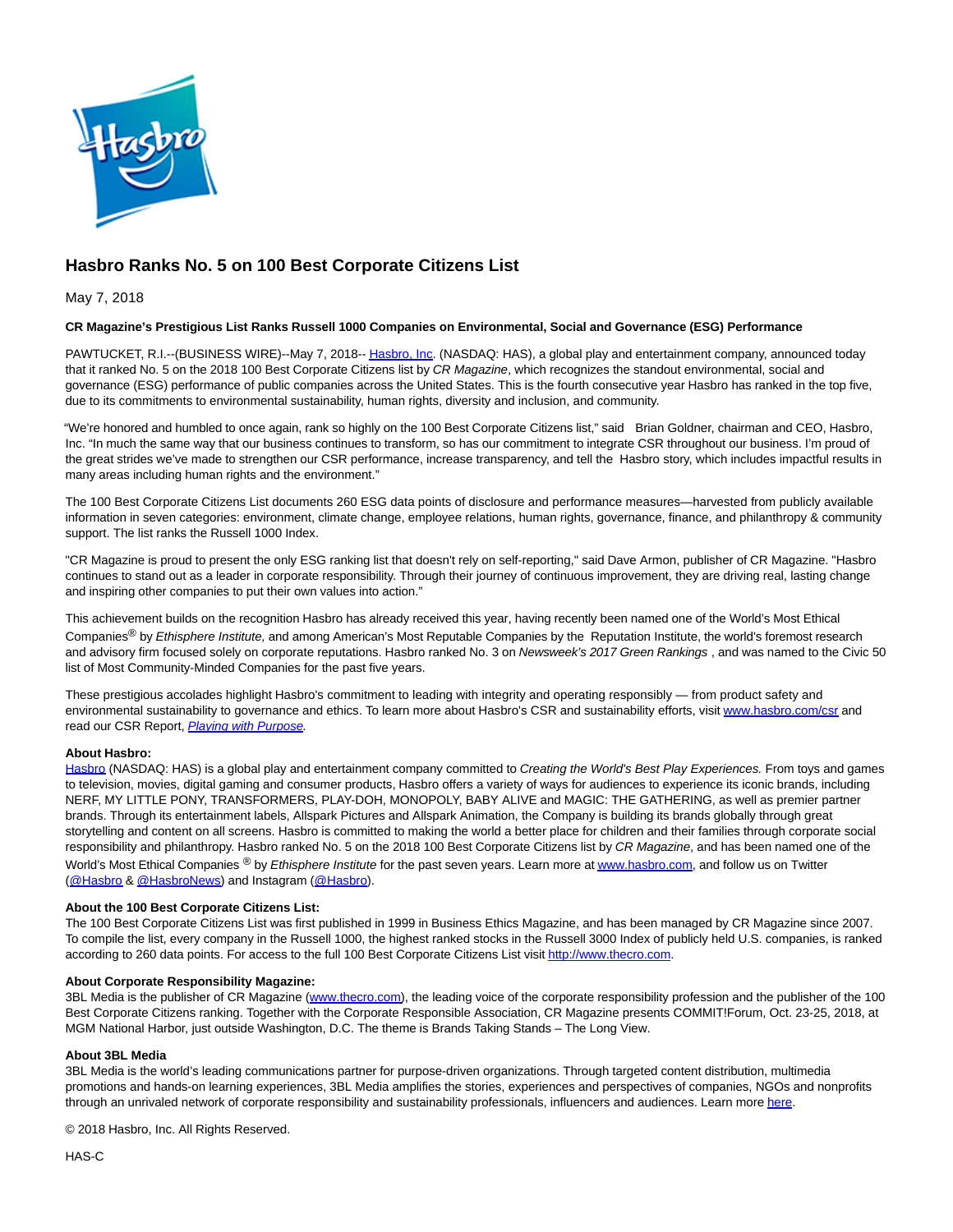

# **Hasbro Ranks No. 5 on 100 Best Corporate Citizens List**

May 7, 2018

## **CR Magazine's Prestigious List Ranks Russell 1000 Companies on Environmental, Social and Governance (ESG) Performance**

PAWTUCKET, R.I.--(BUSINESS WIRE)--May 7, 2018-[- Hasbro, Inc.](http://cts.businesswire.com/ct/CT?id=smartlink&url=http%3A%2F%2Fwww.hasbro.com%2F&esheet=51802069&newsitemid=20180507005839&lan=en-US&anchor=Hasbro%2C+Inc&index=1&md5=bab4bf627e6f5ff787b2caac1da564a6) (NASDAQ: HAS), a global play and entertainment company, announced today that it ranked No. 5 on the 2018 100 Best Corporate Citizens list by CR Magazine, which recognizes the standout environmental, social and governance (ESG) performance of public companies across the United States. This is the fourth consecutive year Hasbro has ranked in the top five, due to its commitments to environmental sustainability, human rights, diversity and inclusion, and community.

"We're honored and humbled to once again, rank so highly on the 100 Best Corporate Citizens list," said Brian Goldner, chairman and CEO, Hasbro, Inc. "In much the same way that our business continues to transform, so has our commitment to integrate CSR throughout our business. I'm proud of the great strides we've made to strengthen our CSR performance, increase transparency, and tell the Hasbro story, which includes impactful results in many areas including human rights and the environment."

The 100 Best Corporate Citizens List documents 260 ESG data points of disclosure and performance measures—harvested from publicly available information in seven categories: environment, climate change, employee relations, human rights, governance, finance, and philanthropy & community support. The list ranks the Russell 1000 Index.

"CR Magazine is proud to present the only ESG ranking list that doesn't rely on self-reporting," said Dave Armon, publisher of CR Magazine. "Hasbro continues to stand out as a leader in corporate responsibility. Through their journey of continuous improvement, they are driving real, lasting change and inspiring other companies to put their own values into action."

This achievement builds on the recognition Hasbro has already received this year, having recently been named one of the World's Most Ethical Companies<sup>®</sup> by Ethisphere Institute, and among American's Most Reputable Companies by the Reputation Institute, the world's foremost research and advisory firm focused solely on corporate reputations. Hasbro ranked No. 3 on Newsweek's 2017 Green Rankings, and was named to the Civic 50 list of Most Community-Minded Companies for the past five years.

These prestigious accolades highlight Hasbro's commitment to leading with integrity and operating responsibly — from product safety and environmental sustainability to governance and ethics. To learn more about Hasbro's CSR and sustainability efforts, visit [www.hasbro.com/csr a](http://cts.businesswire.com/ct/CT?id=smartlink&url=http%3A%2F%2Fwww.hasbro.com%2Fcsr&esheet=51802069&newsitemid=20180507005839&lan=en-US&anchor=www.hasbro.com%2Fcsr&index=2&md5=6e041f044ef1400847302b3b8b07517a)nd read our CSR Report, [Playing with Purpose.](http://cts.businesswire.com/ct/CT?id=smartlink&url=https%3A%2F%2Fcsr.hasbro.com%2Fdownloads%2FCSR_2016_Report.pdf&esheet=51802069&newsitemid=20180507005839&lan=en-US&anchor=Playing+with+Purpose&index=3&md5=64bf9cfcf3170d37963c8e9dab142ba0)

#### **About Hasbro:**

[Hasbro \(](http://cts.businesswire.com/ct/CT?id=smartlink&url=http%3A%2F%2Fwww.hasbro.com&esheet=51802069&newsitemid=20180507005839&lan=en-US&anchor=Hasbro&index=4&md5=e93f79b4208812b16a41f02dcd48d491)NASDAQ: HAS) is a global play and entertainment company committed to Creating the World's Best Play Experiences. From toys and games to television, movies, digital gaming and consumer products, Hasbro offers a variety of ways for audiences to experience its iconic brands, including NERF, MY LITTLE PONY, TRANSFORMERS, PLAY-DOH, MONOPOLY, BABY ALIVE and MAGIC: THE GATHERING, as well as premier partner brands. Through its entertainment labels, Allspark Pictures and Allspark Animation, the Company is building its brands globally through great storytelling and content on all screens. Hasbro is committed to making the world a better place for children and their families through corporate social responsibility and philanthropy. Hasbro ranked No. 5 on the 2018 100 Best Corporate Citizens list by CR Magazine, and has been named one of the World's Most Ethical Companies <sup>®</sup> by Ethisphere Institute for the past seven years. Learn more a[t www.hasbro.com,](http://cts.businesswire.com/ct/CT?id=smartlink&url=http%3A%2F%2Fwww.hasbro.com%2F&esheet=51802069&newsitemid=20180507005839&lan=en-US&anchor=www.hasbro.com&index=5&md5=96edf67ab46cb1e8528e8af211ed793e) and follow us on Twitter [\(@Hasbro &](http://cts.businesswire.com/ct/CT?id=smartlink&url=https%3A%2F%2Ftwitter.com%2FHasbro&esheet=51802069&newsitemid=20180507005839&lan=en-US&anchor=%40Hasbro&index=6&md5=2f19c6465469a15dc378f05fcc57f1f6) [@HasbroNews\)](http://cts.businesswire.com/ct/CT?id=smartlink&url=https%3A%2F%2Ftwitter.com%2FHasbroNews&esheet=51802069&newsitemid=20180507005839&lan=en-US&anchor=%40HasbroNews&index=7&md5=1abbabe01840a4a4b3159e210a3297eb) and Instagram [\(@Hasbro\).](http://cts.businesswire.com/ct/CT?id=smartlink&url=https%3A%2F%2Finstagram.com%2Fhasbro%2F%3Fhl%3Den&esheet=51802069&newsitemid=20180507005839&lan=en-US&anchor=%40Hasbro&index=8&md5=b89ca60c3c38e3799d2bf2036c051c67)

#### **About the 100 Best Corporate Citizens List:**

The 100 Best Corporate Citizens List was first published in 1999 in Business Ethics Magazine, and has been managed by CR Magazine since 2007. To compile the list, every company in the Russell 1000, the highest ranked stocks in the Russell 3000 Index of publicly held U.S. companies, is ranked according to 260 data points. For access to the full 100 Best Corporate Citizens List visi[t http://www.thecro.com.](http://cts.businesswire.com/ct/CT?id=smartlink&url=http%3A%2F%2Fwww.thecro.com%2F&esheet=51802069&newsitemid=20180507005839&lan=en-US&anchor=http%3A%2F%2Fwww.thecro.com&index=9&md5=2e7e6f57fe81a670f698f2b329457e12)

#### **About Corporate Responsibility Magazine:**

3BL Media is the publisher of CR Magazine [\(www.thecro.com\),](http://cts.businesswire.com/ct/CT?id=smartlink&url=http%3A%2F%2Fwww.thecro.com%2F&esheet=51802069&newsitemid=20180507005839&lan=en-US&anchor=www.thecro.com&index=10&md5=48e15e5569b50faf96c10150533c5964) the leading voice of the corporate responsibility profession and the publisher of the 100 Best Corporate Citizens ranking. Together with the Corporate Responsible Association, CR Magazine presents COMMIT!Forum, Oct. 23-25, 2018, at MGM National Harbor, just outside Washington, D.C. The theme is Brands Taking Stands – The Long View.

### **About 3BL Media**

3BL Media is the world's leading communications partner for purpose-driven organizations. Through targeted content distribution, multimedia promotions and hands-on learning experiences, 3BL Media amplifies the stories, experiences and perspectives of companies, NGOs and nonprofits through an unrivaled network of corporate responsibility and sustainability professionals, influencers and audiences. Learn mor[e here.](http://cts.businesswire.com/ct/CT?id=smartlink&url=http%3A%2F%2Fgo.3blmedia.com%2Ftalk-to-us&esheet=51802069&newsitemid=20180507005839&lan=en-US&anchor=here&index=11&md5=908c8db9fef6218aa1c3e4822c556c57)

© 2018 Hasbro, Inc. All Rights Reserved.

HAS-C